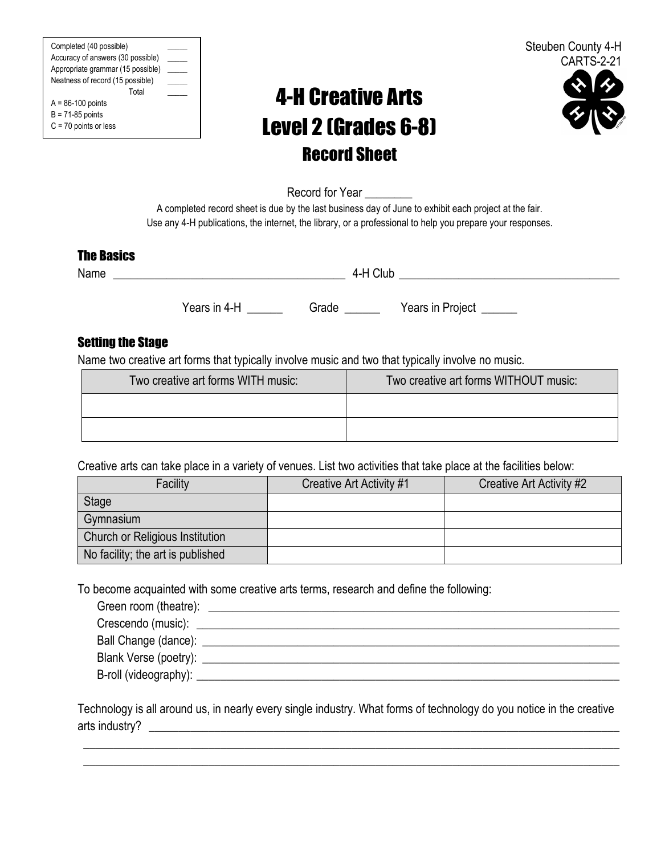Completed (40 possible) \_\_\_\_\_ Accuracy of answers (30 possible) \_ Appropriate grammar (15 possible) \_\_\_\_\_ Neatness of record (15 possible) \_\_\_\_\_ Total \_\_\_\_\_ A = 86-100 points B = 71-85 points

C = 70 points or less

# 4-H Creative Arts Level 2 (Grades 6-8) Record Sheet



Record for Year \_\_\_\_\_\_\_\_

A completed record sheet is due by the last business day of June to exhibit each project at the fair. Use any 4-H publications, the internet, the library, or a professional to help you prepare your responses.

#### The Basics

Name  $\overline{a}$  and  $\overline{a}$  and  $\overline{a}$  and  $\overline{a}$  and  $\overline{a}$  and  $\overline{a}$  and  $\overline{a}$  and  $\overline{a}$  and  $\overline{a}$  and  $\overline{a}$  and  $\overline{a}$  and  $\overline{a}$  and  $\overline{a}$  and  $\overline{a}$  and  $\overline{a}$  and  $\overline{a}$  and  $\overline{a}$ 

Years in 4-H \_\_\_\_\_\_\_ Grade \_\_\_\_\_\_ Years in Project \_\_\_\_\_\_

## Setting the Stage

Name two creative art forms that typically involve music and two that typically involve no music.

| Two creative art forms WITH music: | Two creative art forms WITHOUT music: |
|------------------------------------|---------------------------------------|
|                                    |                                       |
|                                    |                                       |

Creative arts can take place in a variety of venues. List two activities that take place at the facilities below:

| Facility                          | Creative Art Activity #1 | Creative Art Activity #2 |
|-----------------------------------|--------------------------|--------------------------|
| Stage                             |                          |                          |
| Gymnasium                         |                          |                          |
| Church or Religious Institution   |                          |                          |
| No facility; the art is published |                          |                          |

To become acquainted with some creative arts terms, research and define the following:

| Green room (theatre): |  |
|-----------------------|--|
|                       |  |
|                       |  |
| Blank Verse (poetry): |  |
|                       |  |

Technology is all around us, in nearly every single industry. What forms of technology do you notice in the creative arts industry?

\_\_\_\_\_\_\_\_\_\_\_\_\_\_\_\_\_\_\_\_\_\_\_\_\_\_\_\_\_\_\_\_\_\_\_\_\_\_\_\_\_\_\_\_\_\_\_\_\_\_\_\_\_\_\_\_\_\_\_\_\_\_\_\_\_\_\_\_\_\_\_\_\_\_\_\_\_\_\_\_\_\_\_\_\_\_\_\_\_\_ \_\_\_\_\_\_\_\_\_\_\_\_\_\_\_\_\_\_\_\_\_\_\_\_\_\_\_\_\_\_\_\_\_\_\_\_\_\_\_\_\_\_\_\_\_\_\_\_\_\_\_\_\_\_\_\_\_\_\_\_\_\_\_\_\_\_\_\_\_\_\_\_\_\_\_\_\_\_\_\_\_\_\_\_\_\_\_\_\_\_